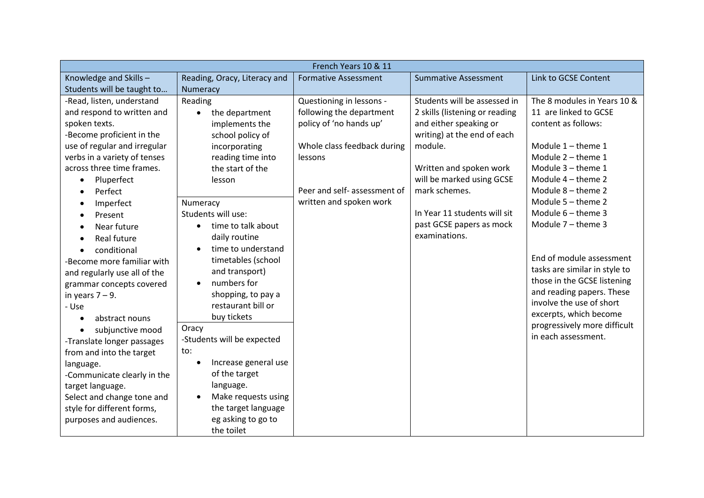| French Years 10 & 11         |                                   |                              |                                |                               |
|------------------------------|-----------------------------------|------------------------------|--------------------------------|-------------------------------|
| Knowledge and Skills-        | Reading, Oracy, Literacy and      | <b>Formative Assessment</b>  | <b>Summative Assessment</b>    | Link to GCSE Content          |
| Students will be taught to   | Numeracy                          |                              |                                |                               |
| -Read, listen, understand    | Reading                           | Questioning in lessons -     | Students will be assessed in   | The 8 modules in Years 10 &   |
| and respond to written and   | the department<br>$\bullet$       | following the department     | 2 skills (listening or reading | 11 are linked to GCSE         |
| spoken texts.                | implements the                    | policy of 'no hands up'      | and either speaking or         | content as follows:           |
| -Become proficient in the    | school policy of                  |                              | writing) at the end of each    |                               |
| use of regular and irregular | incorporating                     | Whole class feedback during  | module.                        | Module $1$ – theme $1$        |
| verbs in a variety of tenses | reading time into                 | lessons                      |                                | Module 2 - theme 1            |
| across three time frames.    | the start of the                  |                              | Written and spoken work        | Module 3 - theme 1            |
| Pluperfect<br>$\bullet$      | lesson                            |                              | will be marked using GCSE      | Module $4$ – theme 2          |
| Perfect                      |                                   | Peer and self- assessment of | mark schemes.                  | Module 8 - theme 2            |
| Imperfect                    | Numeracy                          | written and spoken work      |                                | Module 5 - theme 2            |
| Present<br>$\bullet$         | Students will use:                |                              | In Year 11 students will sit   | Module $6$ – theme 3          |
| Near future                  | time to talk about<br>$\bullet$   |                              | past GCSE papers as mock       | Module $7$ – theme 3          |
| Real future<br>$\bullet$     | daily routine                     |                              | examinations.                  |                               |
| conditional                  | time to understand<br>$\bullet$   |                              |                                |                               |
| -Become more familiar with   | timetables (school                |                              |                                | End of module assessment      |
| and regularly use all of the | and transport)                    |                              |                                | tasks are similar in style to |
| grammar concepts covered     | numbers for<br>$\bullet$          |                              |                                | those in the GCSE listening   |
| in years $7 - 9$ .           | shopping, to pay a                |                              |                                | and reading papers. These     |
| - Use                        | restaurant bill or                |                              |                                | involve the use of short      |
| abstract nouns<br>$\bullet$  | buy tickets                       |                              |                                | excerpts, which become        |
| subjunctive mood             | Oracy                             |                              |                                | progressively more difficult  |
| -Translate longer passages   | -Students will be expected        |                              |                                | in each assessment.           |
| from and into the target     | to:                               |                              |                                |                               |
| language.                    | Increase general use<br>$\bullet$ |                              |                                |                               |
| -Communicate clearly in the  | of the target                     |                              |                                |                               |
| target language.             | language.                         |                              |                                |                               |
| Select and change tone and   | Make requests using<br>$\bullet$  |                              |                                |                               |
| style for different forms,   | the target language               |                              |                                |                               |
| purposes and audiences.      | eg asking to go to                |                              |                                |                               |
|                              | the toilet                        |                              |                                |                               |